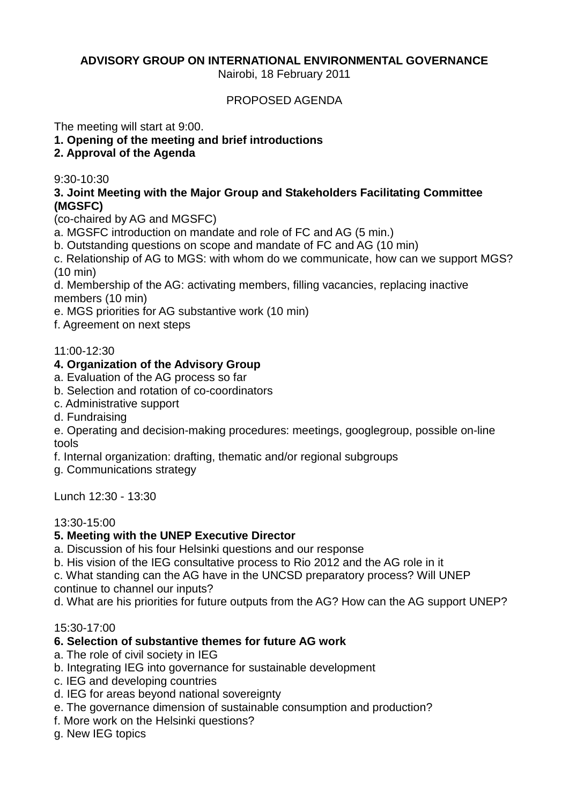# **ADVISORY GROUP ON INTERNATIONAL ENVIRONMENTAL GOVERNANCE**

Nairobi, 18 February 2011

### PROPOSED AGENDA

The meeting will start at 9:00.

- **1. Opening of the meeting and brief introductions**
- **2. Approval of the Agenda**

### 9:30-10:30

### **3. Joint Meeting with the Major Group and Stakeholders Facilitating Committee (MGSFC)**

(co-chaired by AG and MGSFC)

- a. MGSFC introduction on mandate and role of FC and AG (5 min.)
- b. Outstanding questions on scope and mandate of FC and AG (10 min)

c. Relationship of AG to MGS: with whom do we communicate, how can we support MGS? (10 min)

d. Membership of the AG: activating members, filling vacancies, replacing inactive members (10 min)

e. MGS priorities for AG substantive work (10 min)

f. Agreement on next steps

#### 11:00-12:30

### **4. Organization of the Advisory Group**

- a. Evaluation of the AG process so far
- b. Selection and rotation of co-coordinators
- c. Administrative support
- d. Fundraising

e. Operating and decision-making procedures: meetings, googlegroup, possible on-line tools

f. Internal organization: drafting, thematic and/or regional subgroups

g. Communications strategy

Lunch 12:30 - 13:30

#### 13:30-15:00

# **5. Meeting with the UNEP Executive Director**

a. Discussion of his four Helsinki questions and our response

b. His vision of the IEG consultative process to Rio 2012 and the AG role in it

c. What standing can the AG have in the UNCSD preparatory process? Will UNEP continue to channel our inputs?

d. What are his priorities for future outputs from the AG? How can the AG support UNEP?

#### 15:30-17:00

# **6. Selection of substantive themes for future AG work**

- a. The role of civil society in IEG
- b. Integrating IEG into governance for sustainable development
- c. IEG and developing countries
- d. IEG for areas beyond national sovereignty
- e. The governance dimension of sustainable consumption and production?
- f. More work on the Helsinki questions?

g. New IEG topics